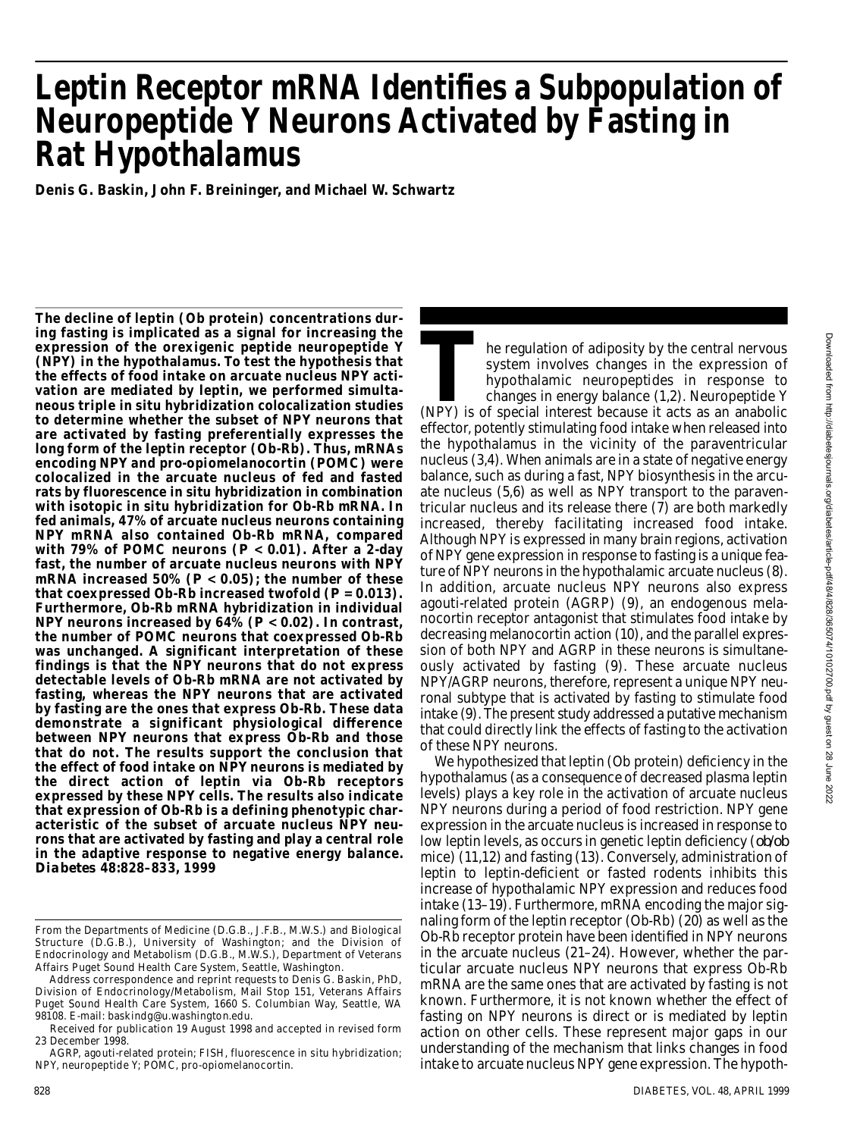# **Leptin Receptor mRNA Identifies a Subpopulation of Neuropeptide Y Neurons Activated by Fasting in Rat Hypothalamus**

**Denis G. Baskin, John F. Breininger, and Michael W. Schwartz**

**The decline of leptin (Ob protein) concentrations during fasting is implicated as a signal for increasing the expression of the orexigenic peptide neuropeptide Y (NPY) in the hypothalamus. To test the hypothesis that the effects of food intake on arcuate nucleus NPY activation are mediated by leptin, we performed simultaneous triple in situ hybridization colocalization studies to determine whether the subset of NPY neurons that are activated by fasting preferentially expresses the long form of the leptin receptor (Ob-Rb). Thus, mRNAs encoding NPY and pro-opiomelanocortin (POMC) were colocalized in the arcuate nucleus of fed and fasted rats by fluorescence in situ hybridization in combination with isotopic in situ hybridization for Ob-Rb mRNA. In fed animals, 47% of arcuate nucleus neurons containing NPY mRNA also contained Ob-Rb mRNA, compared with 79% of POMC neurons (***P* **< 0.01). After a 2-day fast, the number of arcuate nucleus neurons with NPY mRNA increased 50% (***P* **< 0.05); the number of these that coexpressed Ob-Rb increased twofold (***P* **= 0.013). Furthermore, Ob-Rb mRNA hybridization in individual NPY neurons increased by 64% (***P* **< 0.02). In contrast, the number of POMC neurons that coexpressed Ob-Rb was unchanged. A significant interpretation of these findings is that the NPY neurons that do not express detectable levels of Ob-Rb mRNA are not activated by fasting, whereas the NPY neurons that are activated by fasting are the ones that express Ob-Rb. These data** demonstrate a significant physiological difference **between NPY neurons that express Ob-Rb and those that do not. The results support the conclusion that the effect of food intake on NPY neurons is mediated by the direct action of leptin via Ob-Rb receptors expressed by these NPY cells. The results also indicate that expression of Ob-Rb is a defining phenotypic characteristic of the subset of arcuate nucleus NPY neurons that are activated by fasting and play a central role in the adaptive response to negative energy balance.** *D i a b e t e s* **48:828–833, 1999**

The regulation of adiposity by the central nervous<br>system involves changes in the expression of<br>hypothalamic neuropeptides in response to<br>changes in energy balance (1,2). Neuropeptide Y<br>(NPY) is of special interest because he regulation of adiposity by the central nervous system involves changes in the expression of hypothalamic neuropeptides in response to changes in energy balance (1,2). Neuropeptide Y effector, potently stimulating food intake when released into the hypothalamus in the vicinity of the paraventricular nucleus (3,4). When animals are in a state of negative energy balance, such as during a fast, NPY biosynthesis in the arcuate nucleus (5,6) as well as NPY transport to the paraventricular nucleus and its release there (7) are both markedly increased, thereby facilitating increased food intake. Although NPY is expressed in many brain regions, activation of NPY gene expression in response to fasting is a unique feature of NPY neurons in the hypothalamic arcuate nucleus (8). In addition, arcuate nucleus NPY neurons also express agouti-related protein (AGRP) (9), an endogenous melanocortin receptor antagonist that stimulates food intake by decreasing melanocortin action (10), and the parallel expression of both NPY and AGRP in these neurons is simultaneously activated by fasting (9). These arcuate nucleus NPY/AGRP neurons, therefore, represent a unique NPY neuronal subtype that is activated by fasting to stimulate food intake (9). The present study addressed a putative mechanism that could directly link the effects of fasting to the activation of these NPY neurons.

We hypothesized that leptin (Ob protein) deficiency in the hypothalamus (as a consequence of decreased plasma leptin levels) plays a key role in the activation of arcuate nucleus NPY neurons during a period of food restriction. NPY gene expression in the arcuate nucleus is increased in response to low leptin levels, as occurs in genetic leptin deficiency (*ob/ob* mice) (11,12) and fasting (13). Conversely, administration of leptin to leptin-deficient or fasted rodents inhibits this increase of hypothalamic NPY expression and reduces food intake (13–19). Furthermore, mRNA encoding the major signaling form of the leptin receptor (Ob-Rb) (20) as well as the Ob-Rb receptor protein have been identified in NPY neurons in the arcuate nucleus (21–24). However, whether the particular arcuate nucleus NPY neurons that express Ob-Rb mRNA are the same ones that are activated by fasting is not known. Furthermore, it is not known whether the effect of fasting on NPY neurons is direct or is mediated by leptin action on other cells. These represent major gaps in our understanding of the mechanism that links changes in food intake to arcuate nucleus NPY gene expression. The hypoth-

From the Departments of Medicine (D.G.B., J.F.B., M.W.S.) and Biological Structure (D.G.B.), University of Washington; and the Division of Endocrinology and Metabolism (D.G.B., M.W.S.), Department of Veterans Affairs Puget Sound Health Care System, Seattle, Washington.

Address correspondence and reprint requests to Denis G. Baskin, PhD, Division of Endocrinology/Metabolism, Mail Stop 151, Veterans Affairs Puget Sound Health Care System, 1660 S. Columbian Way, Seattle, WA 98108. E-mail: baskindg@u.washington.edu.

Received for publication 19 August 1998 and accepted in revised form 23 December 1998.

AGRP, agouti-related protein; FISH, fluorescence in situ hybridization; NPY, neuropeptide Y; POMC, pro-opiomelanocortin.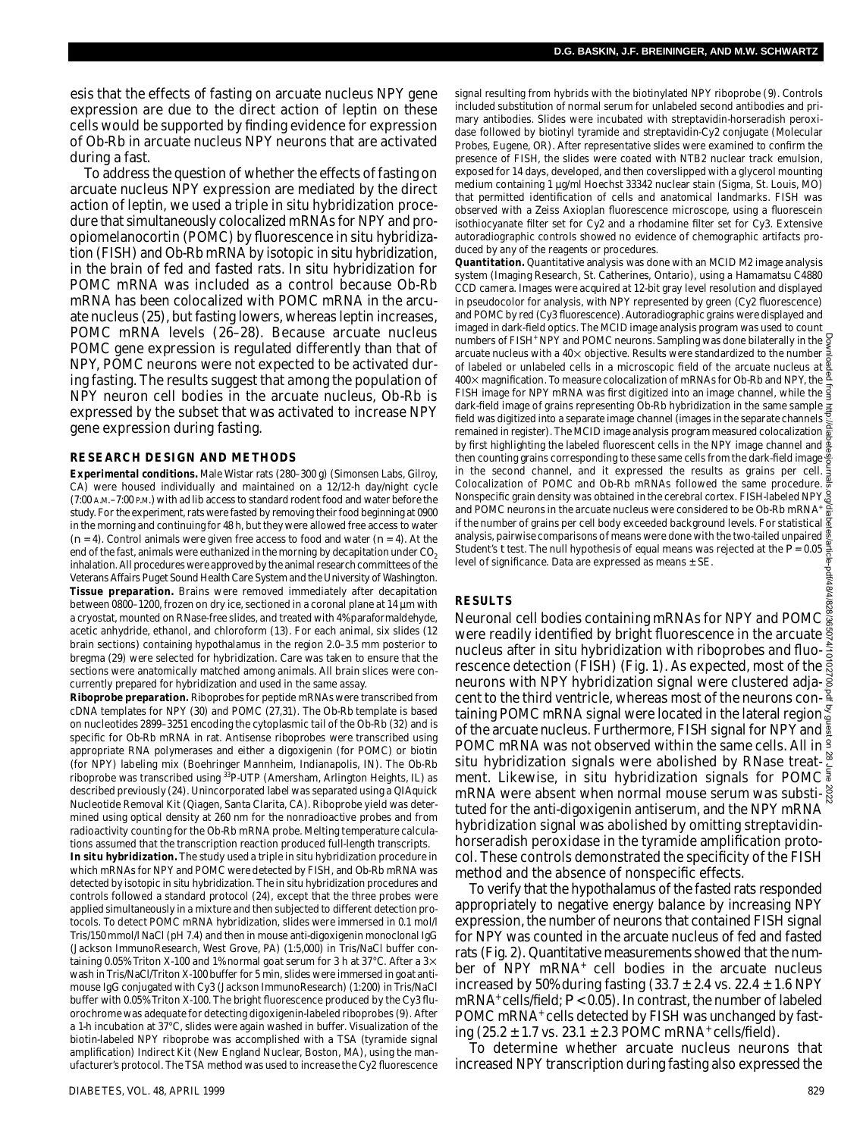esis that the effects of fasting on arcuate nucleus NPY gene expression are due to the direct action of leptin on these cells would be supported by finding evidence for expression of Ob-Rb in arcuate nucleus NPY neurons that are activated during a fast.

To address the question of whether the effects of fasting on arcuate nucleus NPY expression are mediated by the direct action of leptin, we used a triple in situ hybridization procedure that simultaneously colocalized mRNAs for NPY and proopiomelanocortin (POMC) by fluorescence in situ hybridization (FISH) and Ob-Rb mRNA by isotopic in situ hybridization, in the brain of fed and fasted rats. In situ hybridization for POMC mRNA was included as a control because Ob-Rb mRNA has been colocalized with POMC mRNA in the arcuate nucleus (25), but fasting lowers, whereas leptin increases, POMC mRNA levels (26–28). Because arcuate nucleus POMC gene expression is regulated differently than that of NPY, POMC neurons were not expected to be activated during fasting. The results suggest that among the population of NPY neuron cell bodies in the arcuate nucleus, Ob-Rb is expressed by the subset that was activated to increase NPY gene expression during fasting.

#### **RESEARCH DESIGN AND METHODS**

**Experimental conditions.** Male Wistar rats (280–300 g) (Simonsen Labs, Gilroy, CA) were housed individually and maintained on a 12/12-h day/night cycle (7:00 A.M.–7:00 P.M.) with ad lib access to standard rodent food and water before the study. For the experiment, rats were fasted by removing their food beginning at 0900 in the morning and continuing for 48 h, but they were allowed free access to water  $(n = 4)$ . Control animals were given free access to food and water  $(n = 4)$ . At the end of the fast, animals were euthanized in the morning by decapitation under CO<sub>2</sub> inhalation. All procedures were approved by the animal research committees of the Veterans Affairs Puget Sound Health Care System and the University of Washington. **Tissue preparation.** Brains were removed immediately after decapitation between 0800–1200, frozen on dry ice, sectioned in a coronal plane at 14 µm with a cryostat, mounted on RNase-free slides, and treated with 4% paraformaldehyde, acetic anhydride, ethanol, and chloroform (13). For each animal, six slides (12 brain sections) containing hypothalamus in the region 2.0–3.5 mm posterior to bregma (29) were selected for hybridization. Care was taken to ensure that the sections were anatomically matched among animals. All brain slices were concurrently prepared for hybridization and used in the same assay.

**Riboprobe preparation.** Riboprobes for peptide mRNAs were transcribed from cDNA templates for NPY (30) and POMC (27,31). The Ob-Rb template is based on nucleotides 2899–3251 encoding the cytoplasmic tail of the Ob-Rb (32) and is specific for Ob-Rb mRNA in rat. Antisense riboprobes were transcribed using appropriate RNA polymerases and either a digoxigenin (for POMC) or biotin (for NPY) labeling mix (Boehringer Mannheim, Indianapolis, IN). The Ob-Rb riboprobe was transcribed using  $^{33}$ P-UTP (Amersham, Arlington Heights, IL) as described previously (24). Unincorporated label was separated using a QIAquick Nucleotide Removal Kit (Qiagen, Santa Clarita, CA). Riboprobe yield was determined using optical density at 260 nm for the nonradioactive probes and from radioactivity counting for the Ob-Rb mRNA probe. Melting temperature calculations assumed that the transcription reaction produced full-length transcripts.

**In situ hybridization.** The study used a triple in situ hybridization procedure in which mRNAs for NPY and POMC were detected by FISH, and Ob-Rb mRNA was detected by isotopic in situ hybridization. The in situ hybridization procedures and controls followed a standard protocol (24), except that the three probes were applied simultaneously in a mixture and then subjected to different detection protocols. To detect POMC mRNA hybridization, slides were immersed in 0.1 mol/l Tris/150 mmol/l NaCl (pH 7.4) and then in mouse anti-digoxigenin monoclonal IgG (Jackson ImmunoResearch, West Grove, PA) (1:5,000) in Tris/NaCl buffer containing 0.05% Triton X-100 and 1% normal goat serum for 3 h at 37°C. After a 3 $\times$ wash in Tris/NaCl/Triton X-100 buffer for 5 min, slides were immersed in goat antimouse IgG conjugated with Cy3 (Jackson ImmunoResearch) (1:200) in Tris/NaCl buffer with 0.05% Triton X-100. The bright fluorescence produced by the Cy3 fluorochrome was adequate for detecting digoxigenin-labeled riboprobes (9). After a 1-h incubation at 37°C, slides were again washed in buffer. Visualization of the biotin-labeled NPY riboprobe was accomplished with a TSA (tyramide signal amplification) Indirect Kit (New England Nuclear, Boston, MA), using the manuf acturer's protocol. The TSA method was used to increase the Cy2 fluorescence

signal resulting from hybrids with the biotinylated NPY riboprobe (9). Controls included substitution of normal serum for unlabeled second antibodies and primary antibodies. Slides were incubated with streptavidin-horseradish peroxidase followed by biotinyl tyramide and streptavidin-Cy2 conjugate (Molecular Probes, Eugene, OR). After representative slides were examined to confirm the presence of FISH, the slides were coated with NTB2 nuclear track emulsion, exposed for 14 days, developed, and then coverslipped with a glycerol mounting medium containing 1 µg/ml Hoechst 33342 nuclear stain (Sigma, St. Louis, MO) that permitted identification of cells and anatomical landmarks. FISH was observed with a Zeiss Axioplan fluorescence microscope, using a fluorescein isothiocyanate filter set for Cy2 and a rhodamine filter set for Cy3. Extensive autoradiographic controls showed no evidence of chemographic artifacts produced by any of the reagents or procedures.

**Quantitation.** Quantitative analysis was done with an MCID M2 image analysis system (Imaging Research, St. Catherines, Ontario), using a Hamamatsu C4880 CCD camera. Images were acquired at 12-bit gray level resolution and displayed in pseudocolor for analysis, with NPY represented by green (Cy2 fluorescence) and POMC by red (Cy3 fluorescence). Autoradiographic grains were displayed and imaged in dark-field optics. The MCID image analysis program was used to count numbers of FISH<sup>+</sup> NPY and POMC neurons. Sampling was done bilaterally in the arcuate nucleus with a 40 $\times$  objective. Results were standardized to the number of labeled or unlabeled cells in a microscopic field of the arcuate nucleus at  $\frac{8}{9}$  $400\times$  magnification. To measure colocalization of mRNAs for Ob-Rb and NPY, the  $^{\frac{1}{2}}$ FISH image for NPY mRNA was first digitized into an image channel, while the  $\vec{\bar{\S}}$ dark-field image of grains representing Ob-Rb hybridization in the same sample  $\frac{1}{2}$ field was digitized into a separate image channel (images in the separate channels  $\frac{1}{5}$ remained in register). The MCID image analysis program measured colocalization by first highlighting the labeled fluorescent cells in the NPY image channel and then counting grains corresponding to these same cells from the dark-field image  $\frac{8}{9}$ in the second channel, and it expressed the results as grains per cell. Colocalization of POMC and Ob-Rb mRNAs followed the same procedure. Nonspecific grain density was obtained in the cerebral cortex. FISH-labeled NPY and POMC neurons in the arcuate nucleus were considered to be Ob-Rb mRNA<sup>+</sup>  $\frac{2}{90}$ if the number of grains per cell body exceeded background levels. For statistical analysis, pairwise comparisons of means were done with the two-tailed unpaired Student's *t* test. The null hypothesis of equal means was rejected at the *P* = 0.05 level of significance. Data are expressed as means ± SE.

### **R E S U LT S**

Neuronal cell bodies containing mRNAs for NPY and POMC were readily identified by bright fluorescence in the arcuate nucleus after in situ hybridization with riboprobes and fluo- $\frac{5}{6}$ rescence detection (FISH) (Fig. 1). As expected, most of the  $\frac{1}{5}$ neurons with NPY hybridization signal were clustered adjacent to the third ventricle, whereas most of the neurons con- $\frac{8}{3}$ taining POMC mRNA signal were located in the lateral region of the arcuate nucleus. Furthermore, FISH signal for NPY and  $\frac{3}{2}$ POMC mRNA was not observed within the same cells. All in  $\frac{9}{2}$ situ hybridization signals were abolished by RNase treatment. Likewise, in situ hybridization signals for POMC<sup>5</sup> mRNA were absent when normal mouse serum was substituted for the anti-digoxigenin antiserum, and the NPY mRNA hybridization signal was abolished by omitting streptavidinhorseradish peroxidase in the tyramide amplification protocol. These controls demonstrated the specificity of the FISH method and the absence of nonspecific effects. nurhers of FisiH NPY and POMC means Sampiling was done blatterally in the Sampilitation of habeted or unababted talk in a microscopic field of the scutte or using the same interest of the same interest or the microscopic f

To verify that the hypothalamus of the fasted rats responded appropriately to negative energy balance by increasing NPY expression, the number of neurons that contained FISH signal for NPY was counted in the arcuate nucleus of fed and fasted rats (Fig. 2). Quantitative measurements showed that the number of NPY mRNA<sup>+</sup> cell bodies in the arcuate nucleus increased by 50% during fasting  $(33.7 \pm 2.4 \text{ vs. } 22.4 \pm 1.6 \text{ NPY})$ m RNA<sup>+</sup> cells/field;  $P < 0.05$ ). In contrast, the number of labeled POMC mRNA<sup>+</sup> cells detected by FISH was unchanged by fasting  $(25.2 \pm 1.7 \text{ vs. } 23.1 \pm 2.3 \text{ POMC mRNA}^+ \text{ cells/field}).$ 

To determine whether arcuate nucleus neurons that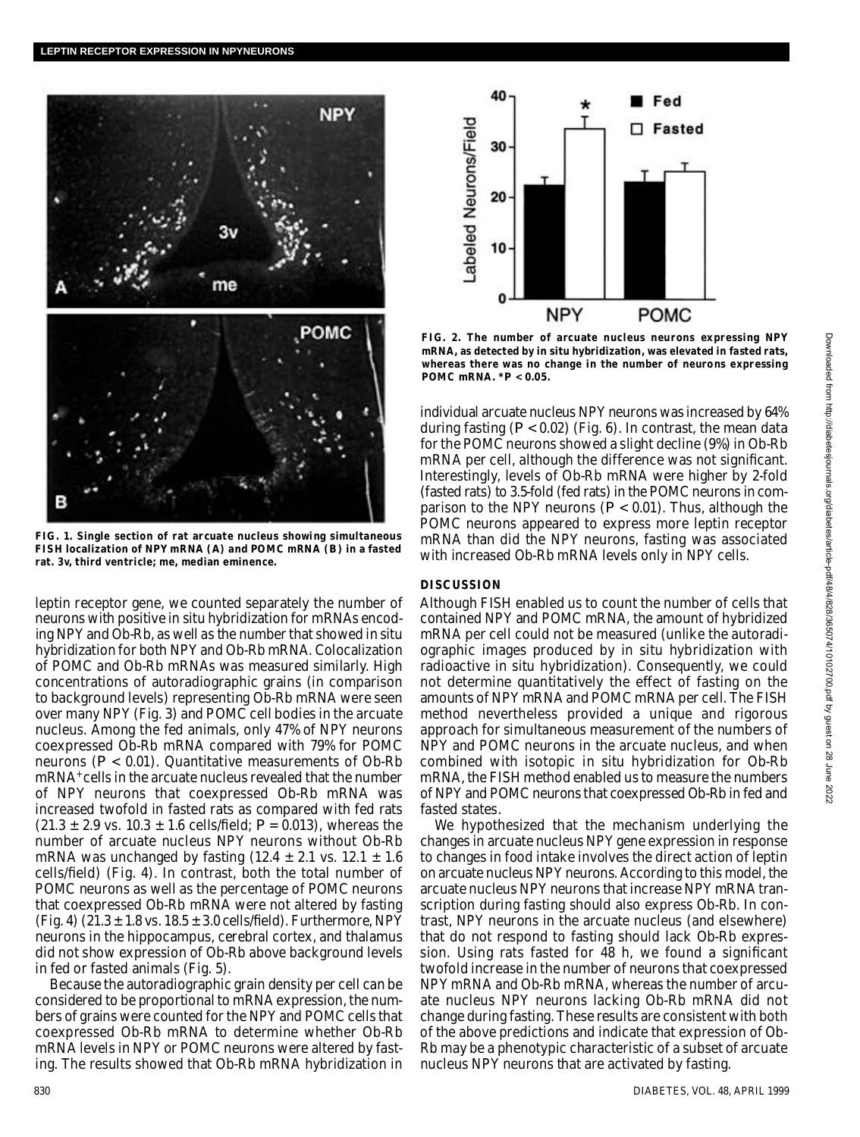

**FIG. 1. Single section of rat arcuate nucleus showing simultaneous FISH localization of NPY mRNA (***A***) and POMC mRNA (***B***) in a fasted rat. 3v, third ventricle; me, median eminence.**

leptin receptor gene, we counted separately the number of neurons with positive in situ hybridization for mRNAs encoding NPY and Ob-Rb, as well as the number that showed in situ hybridization for both NPY and Ob-Rb mRNA. Colocalization of POMC and Ob-Rb mRNAs was measured similarly. High concentrations of autoradiographic grains (in comparison to background levels) representing Ob-Rb mRNA were seen over many NPY (Fig. 3) and POMC cell bodies in the arcuate nucleus. Among the fed animals, only 47% of NPY neurons coexpressed Ob-Rb mRNA compared with 79% for POMC neurons (*P* < 0.01). Quantitative measurements of Ob-Rb m RNA<sup>+</sup> cells in the arcuate nucleus revealed that the number of NPY neurons that coexpressed Ob-Rb mRNA was increased twofold in fasted rats as compared with fed rats  $(21.3 \pm 2.9 \text{ vs. } 10.3 \pm 1.6 \text{ cells/field}; P = 0.013)$ , whereas the number of arcuate nucleus NPY neurons without Ob-Rb mRNA was unchanged by fasting  $(12.4 \pm 2.1 \text{ vs. } 12.1 \pm 1.6$ cells/field) (Fig. 4). In contrast, both the total number of POMC neurons as well as the percentage of POMC neurons that coexpressed Ob-Rb mRNA were not altered by fasting (Fig. 4) (21.3  $\pm$  1.8 vs. 18.5  $\pm$  3.0 cells/field). Furthermore, NPY neurons in the hippocampus, cerebral cortex, and thalamus did not show expression of Ob-Rb above background levels in fed or fasted animals (Fig. 5).

Because the autoradiographic grain density per cell can be considered to be proportional to mRNA expression, the numbers of grains were counted for the NPY and POMC cells that coexpressed Ob-Rb mRNA to determine whether Ob-Rb mRNA levels in NPY or POMC neurons were altered by fasting. The results showed that Ob-Rb mRNA hybridization in



**FIG. 2. The number of arcuate nucleus neurons expressing NPY mRNA, as detected by in situ hybridization, was elevated in fasted rats, whereas there was no change in the number of neurons expressing POMC mRNA. \****P* **< 0.05.**

individual arcuate nucleus NPY neurons was increased by 64% during fasting (*P* < 0.02) (Fig. 6). In contrast, the mean data for the POMC neurons showed a slight decline (9%) in Ob-Rb mRNA per cell, although the difference was not significant. Interestingly, levels of Ob-Rb mRNA were higher by 2-fold (fasted rats) to 3.5-fold (fed rats) in the POMC neurons in comparison to the NPY neurons (*P* < 0.01). Thus, although the POMC neurons appeared to express more leptin receptor mRNA than did the NPY neurons, fasting was associated with increased Ob-Rb mRNA levels only in NPY cells.

## **DISCUSSION**

Although FISH enabled us to count the number of cells that contained NPY and POMC mRNA, the amount of hybridized mRNA per cell could not be measured (unlike the autoradiographic images produced by in situ hybridization with radioactive in situ hybridization). Consequently, we could not determine quantitatively the effect of fasting on the amounts of NPY mRNA and POMC mRNA per cell. The FISH method nevertheless provided a unique and rigorous approach for simultaneous measurement of the numbers of NPY and POMC neurons in the arcuate nucleus, and when combined with isotopic in situ hybridization for Ob-Rb mRNA, the FISH method enabled us to measure the numbers of NPY and POMC neurons that coexpressed Ob-Rb in fed and fasted states.

We hypothesized that the mechanism underlying the changes in arcuate nucleus NPY gene expression in response to changes in food intake involves the direct action of leptin on arcuate nucleus NPY neurons. According to this model, the arcuate nucleus NPY neurons that increase NPY mRNA transcription during fasting should also express Ob-Rb. In contrast, NPY neurons in the arcuate nucleus (and elsewhere) that do not respond to fasting should lack Ob-Rb expression. Using rats fasted for  $48$  h, we found a significant twofold increase in the number of neurons that coexpressed NPY mRNA and Ob-Rb mRNA, whereas the number of arcuate nucleus NPY neurons lacking Ob-Rb mRNA did not change during fasting. These results are consistent with both of the above predictions and indicate that expression of Ob-Rb may be a phenotypic characteristic of a subset of arcuate nucleus NPY neurons that are activated by fasting.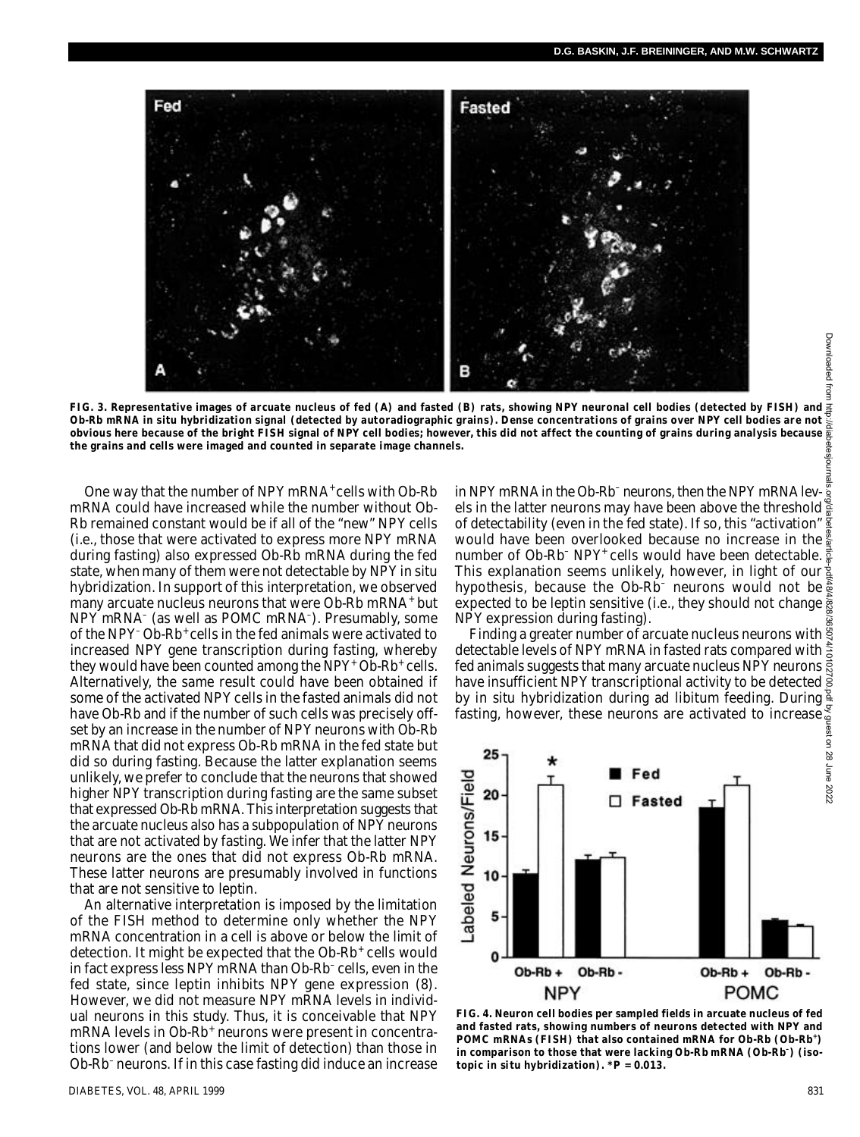

**FIG. 3. Representative images of arcuate nucleus of fed (***A***) and fasted (***B***) rats, showing NPY neuronal cell bodies (detected by FISH) and Ob-Rb mRNA in situ hybridization signal (detected by autoradiographic grains). Dense concentrations of grains over NPY cell bodies are not obvious here because of the bright FISH signal of NPY cell bodies; however, this did not affect the counting of grains during analysis because the grains and cells were imaged and counted in separate image channels.**

One way that the number of NPY mRNA<sup>+</sup> cells with Ob-Rb mRNA could have increased while the number without Ob-Rb remained constant would be if all of the "new" NPY cells (i.e., those that were activated to express more NPY mRNA during fasting) also expressed Ob-Rb mRNA during the fed state, when many of them were not detectable by NPY in situ hybridization. In support of this interpretation, we observed many arcuate nucleus neurons that were Ob-Rb mRNA+ but NPY mRNA– (as well as POMC mRNA– ). Presumably, some of the NPY<sup>-</sup>Ob-Rb<sup>+</sup> cells in the fed animals were activated to increased NPY gene transcription during fasting, whereby they would have been counted among the NPY+ Ob-Rb+ cells. Alternatively, the same result could have been obtained if some of the activated NPY cells in the fasted animals did not have Ob-Rb and if the number of such cells was precisely offset by an increase in the number of NPY neurons with Ob-Rb mRNA that did not express Ob-Rb mRNA in the fed state but did so during fasting. Because the latter explanation seems unlikely, we prefer to conclude that the neurons that showed higher NPY transcription during fasting are the same subset that expressed Ob-Rb mRNA. This interpretation suggests that the arcuate nucleus also has a subpopulation of NPY neurons that are not activated by fasting. We infer that the latter NPY neurons are the ones that did not express Ob-Rb mRNA. These latter neurons are presumably involved in functions that are not sensitive to leptin.

An alternative interpretation is imposed by the limitation of the FISH method to determine only whether the NPY mRNA concentration in a cell is above or below the limit of detection. It might be expected that the Ob-Rb<sup>+</sup> cells would in fact express less NPY mRNA than Ob-Rb– cells, even in the fed state, since leptin inhibits NPY gene expression (8). However, we did not measure NPY mRNA levels in individual neurons in this study. Thus, it is conceivable that NPY mRNA levels in Ob-Rb<sup>+</sup> neurons were present in concentrations lower (and below the limit of detection) than those in Ob-Rb<sup>-</sup> neurons. If in this case fasting did induce an increase

DIABETES, VOL. 48, APRIL 1999 831

in NPY mRNA in the Ob-Rb– neurons, then the NPY mRNA levels in the latter neurons may have been above the threshold of detectability (even in the fed state). If so, this "activation"  $\frac{8}{3}$ would have been overlooked because no increase in the  $\frac{8}{9}$ number of Ob-Rb<sup>-</sup> NPY<sup>+</sup> cells would have been detectable.  $\frac{1}{2}$ This explanation seems unlikely, however, in light of our hypothesis, because the Ob-Rb<sup>-</sup> neurons would not be  $\frac{1}{2}$ expected to be leptin sensitive (i.e., they should not change  $\frac{5}{8}$ NPY expression during fasting).

Finding a greater number of arcuate nucleus neurons with  $\ddot{\xi}$ detectable levels of NPY mRNA in fasted rats compared with  $\frac{3}{6}$ fed animals suggests that many arcuate nucleus NPY neurons  $\bar{\vec{\mathrm{g}}}$ have insufficient NPY transcriptional activity to be detected  $\tilde{g}$ by in situ hybridization during ad libitum feeding. During fasting, however, these neurons are activated to increase Downloaded from http://diabetesjournals.org/diabetes/article-pdf/48/4/828/365074/10102700.pdf by guest on 28 June 2022



**FIG. 4. Neuron cell bodies per sampled fields in arcuate nucleus of fed and fasted rats, showing numbers of neurons detected with NPY and POMC mRNAs (FISH) that also contained mRNA for Ob-Rb (Ob-Rb<sup>+</sup> ) in comparison to those that were lacking Ob-Rb mRNA (Ob-Rb– ) (isotopic in situ hybridization). \****P* **= 0.013.**

Downloaded from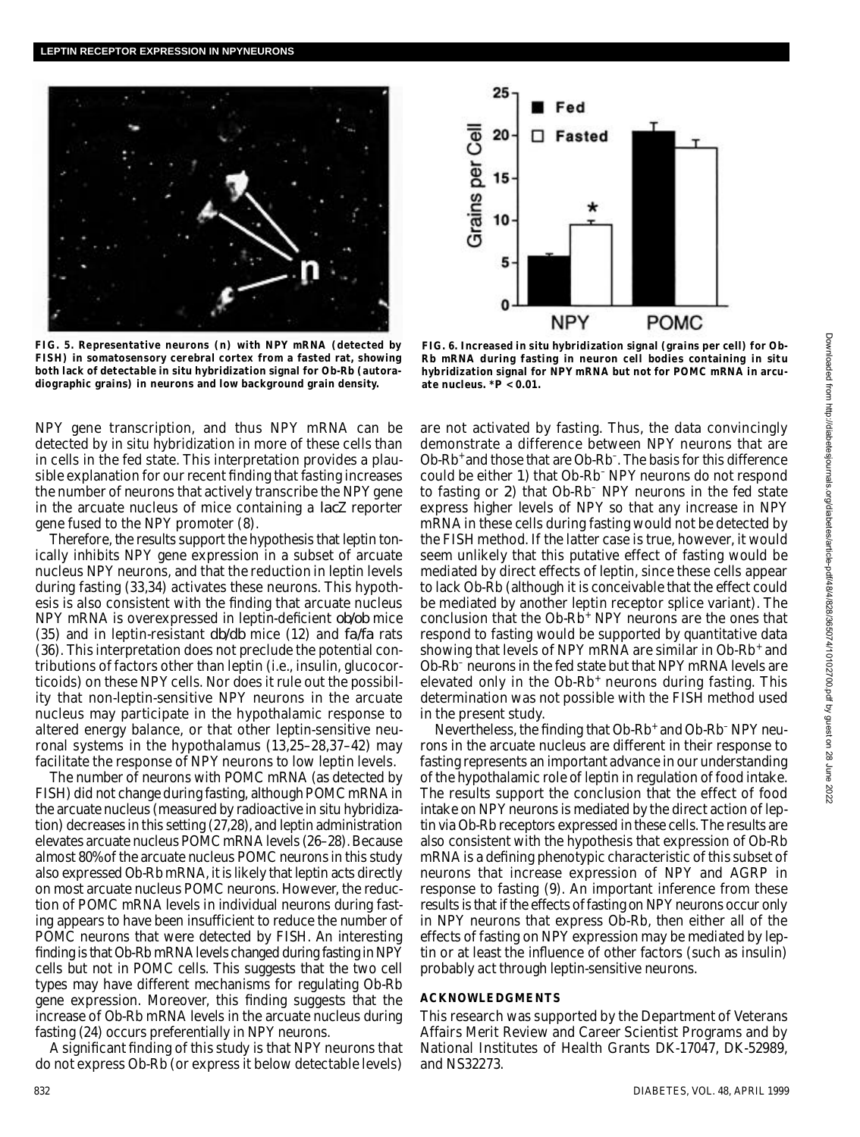

**FIG. 5. Representative neurons (n) with NPY mRNA (detected by FISH) in somatosensory cerebral cortex from a fasted rat, showing both lack of detectable in situ hybridization signal for Ob-Rb (autoradiographic grains) in neurons and low background grain density.**

NPY gene transcription, and thus NPY mRNA can be detected by in situ hybridization in more of these cells than in cells in the fed state. This interpretation provides a plausible explanation for our recent finding that fasting increases the number of neurons that actively transcribe the NPY gene in the arcuate nucleus of mice containing a *lac*Z reporter gene fused to the NPY promoter (8).

Therefore, the results support the hypothesis that leptin tonically inhibits NPY gene expression in a subset of arcuate nucleus NPY neurons, and that the reduction in leptin levels during fasting (33,34) activates these neurons. This hypothesis is also consistent with the finding that arcuate nucleus NPY mRNA is overexpressed in leptin-deficient *ob/ob* mice (35) and in leptin-resistant  $db/db$  mice (12) and  $fa/fa$  rats (36). This interpretation does not preclude the potential contributions of factors other than leptin (i.e., insulin, glucocorticoids) on these NPY cells. Nor does it rule out the possibility that non-leptin-sensitive NPY neurons in the arcuate nucleus may participate in the hypothalamic response to altered energy balance, or that other leptin-sensitive neuronal systems in the hypothalamus (13,25–28,37–42) may facilitate the response of NPY neurons to low leptin levels.

The number of neurons with POMC mRNA (as detected by FISH) did not change during fasting, although POMC mRNA in the arcuate nucleus (measured by radioactive in situ hybridization) decreases in this setting (27,28), and leptin administration elevates arcuate nucleus POMC mRNA levels (26–28). Because almost 80% of the arcuate nucleus POMC neurons in this study also expressed Ob-Rb mRNA, it is likely that leptin acts directly on most arcuate nucleus POMC neurons. However, the reduction of POMC mRNA levels in individual neurons during fasting appears to have been insufficient to reduce the number of POMC neurons that were detected by FISH. An interesting finding is that Ob-Rb mRNA levels changed during fasting in NPY cells but not in POMC cells. This suggests that the two cell types may have different mechanisms for regulating Ob-Rb gene expression. Moreover, this finding suggests that the increase of Ob-Rb mRNA levels in the arcuate nucleus during fasting (24) occurs preferentially in NPY neurons.

A significant finding of this study is that NPY neurons that do not express Ob-Rb (or express it below detectable levels)



**FIG. 6. Increased in situ hybridization signal (grains per cell) for Ob-Rb mRNA during fasting in neuron cell bodies containing in situ hybridization signal for NPY mRNA but not for POMC mRNA in arcuate nucleus. \****P* **< 0.01.**

are not activated by fasting. Thus, the data convincingly demonstrate a difference between NPY neurons that are Ob-Rb<sup>+</sup> and those that are Ob-Rb<sup>-</sup>. The basis for this difference could be either *1*) that Ob-Rb– NPY neurons do not respond to fasting or *2*) that Ob-Rb– NPY neurons in the fed state express higher levels of NPY so that any increase in NPY mRNA in these cells during fasting would not be detected by the FISH method. If the latter case is true, however, it would seem unlikely that this putative effect of fasting would be mediated by direct effects of leptin, since these cells appear to lack Ob-Rb (although it is conceivable that the effect could be mediated by another leptin receptor splice variant). The conclusion that the Ob-Rb<sup>+</sup> NPY neurons are the ones that respond to fasting would be supported by quantitative data showing that levels of NPY mRNA are similar in Ob-Rb<sup>+</sup> and Ob-Rb<sup>-</sup> neurons in the fed state but that NPY mRNA levels are elevated only in the Ob-Rb<sup>+</sup> neurons during fasting. This determination was not possible with the FISH method used in the present study.

Nevertheless, the finding that Ob-Rb<sup>+</sup> and Ob-Rb<sup>-</sup> NPY neurons in the arcuate nucleus are different in their response to fasting represents an important advance in our understanding of the hypothalamic role of leptin in regulation of food intake. The results support the conclusion that the effect of food intake on NPY neurons is mediated by the direct action of leptin via Ob-Rb receptors expressed in these cells. The results are also consistent with the hypothesis that expression of Ob-Rb mRNA is a defining phenotypic characteristic of this subset of neurons that increase expression of NPY and AGRP in response to fasting (9). An important inference from these results is that if the effects of fasting on NPY neurons occur only in NPY neurons that express Ob-Rb, then either all of the effects of fasting on NPY expression may be mediated by leptin or at least the influence of other factors (such as insulin) probably act through leptin-sensitive neurons.

## **A C K N O W L E D G M E N T S**

This research was supported by the Department of Veterans Affairs Merit Review and Career Scientist Programs and by National Institutes of Health Grants DK-17047, DK-52989, and NS32273.